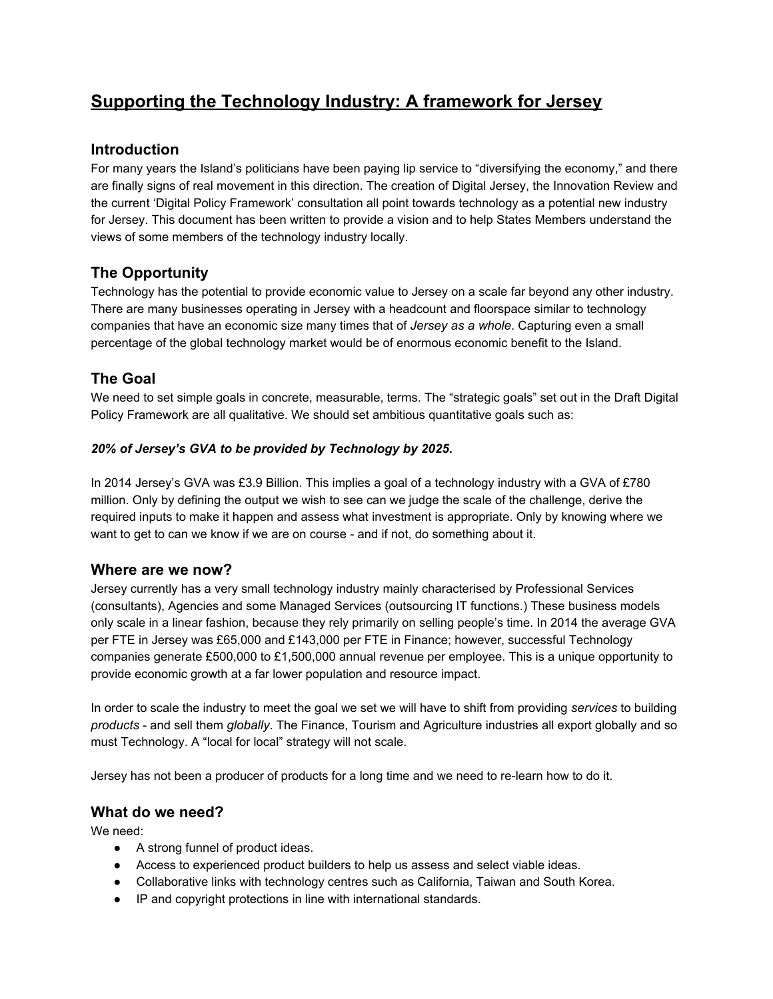# **Supporting the Technology Industry: A framework for Jersey**

## **Introduction**

For many years the Island's politicians have been paying lip service to "diversifying the economy," and there are finally signs of real movement in this direction. The creation of Digital Jersey, the Innovation Review and the current 'Digital Policy Framework' consultation all point towards technology as a potential new industry for Jersey. This document has been written to provide a vision and to help States Members understand the views of some members of the technology industry locally.

## **The Opportunity**

Technology has the potential to provide economic value to Jersey on a scale far beyond any other industry. There are many businesses operating in Jersey with a headcount and floorspace similar to technology companies that have an economic size many times that of *Jersey as a whole*. Capturing even a small percentage of the global technology market would be of enormous economic benefit to the Island.

## **The Goal**

We need to set simple goals in concrete, measurable, terms. The "strategic goals" set out in the Draft Digital Policy Framework are all qualitative. We should set ambitious quantitative goals such as:

#### *20% of Jersey's GVA to be provided by Technology by 2025.*

In 2014 Jersey's GVA was £3.9 Billion. This implies a goal of a technology industry with a GVA of £780 million. Only by defining the output we wish to see can we judge the scale of the challenge, derive the required inputs to make it happen and assess what investment is appropriate. Only by knowing where we want to get to can we know if we are on course - and if not, do something about it.

#### **Where are we now?**

Jersey currently has a very small technology industry mainly characterised by Professional Services (consultants), Agencies and some Managed Services (outsourcing IT functions.) These business models only scale in a linear fashion, because they rely primarily on selling people's time. In 2014 the average GVA per FTE in Jersey was £65,000 and £143,000 per FTE in Finance; however, successful Technology companies generate £500,000 to £1,500,000 annual revenue per employee. This is a unique opportunity to provide economic growth at a far lower population and resource impact.

In order to scale the industry to meet the goal we set we will have to shift from providing *services* to building *products* - and sell them *globally*. The Finance, Tourism and Agriculture industries all export globally and so must Technology. A "local for local" strategy will not scale.

Jersey has not been a producer of products for a long time and we need to re-learn how to do it.

#### **What do we need?**

We need:

- A strong funnel of product ideas.
- Access to experienced product builders to help us assess and select viable ideas.
- Collaborative links with technology centres such as California, Taiwan and South Korea.
- IP and copyright protections in line with international standards.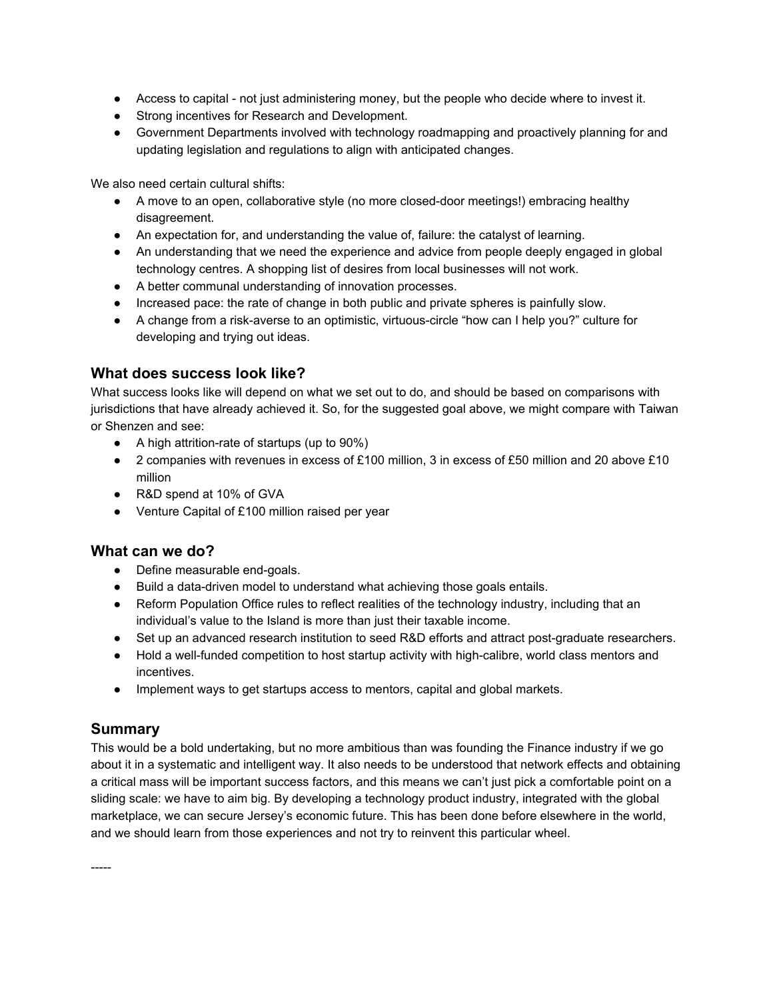- Access to capital not just administering money, but the people who decide where to invest it.
- Strong incentives for Research and Development.
- Government Departments involved with technology roadmapping and proactively planning for and updating legislation and regulations to align with anticipated changes.

We also need certain cultural shifts:

- A move to an open, collaborative style (no more closed-door meetings!) embracing healthy disagreement.
- An expectation for, and understanding the value of, failure: the catalyst of learning.
- An understanding that we need the experience and advice from people deeply engaged in global technology centres. A shopping list of desires from local businesses will not work.
- A better communal understanding of innovation processes.
- Increased pace: the rate of change in both public and private spheres is painfully slow.
- A change from a risk-averse to an optimistic, virtuous-circle "how can I help you?" culture for developing and trying out ideas.

### **What does success look like?**

What success looks like will depend on what we set out to do, and should be based on comparisons with jurisdictions that have already achieved it. So, for the suggested goal above, we might compare with Taiwan or Shenzen and see:

- $\bullet$  A high attrition-rate of startups (up to 90%)
- 2 companies with revenues in excess of £100 million, 3 in excess of £50 million and 20 above £10 million
- R&D spend at 10% of GVA
- Venture Capital of £100 million raised per year

#### **What can we do?**

- Define measurable end-goals.
- Build a data-driven model to understand what achieving those goals entails.
- Reform Population Office rules to reflect realities of the technology industry, including that an individual's value to the Island is more than just their taxable income.
- Set up an advanced research institution to seed R&D efforts and attract post-graduate researchers.
- Hold a well-funded competition to host startup activity with high-calibre, world class mentors and incentives.
- Implement ways to get startups access to mentors, capital and global markets.

## **Summary**

-----

This would be a bold undertaking, but no more ambitious than was founding the Finance industry if we go about it in a systematic and intelligent way. It also needs to be understood that network effects and obtaining a critical mass will be important success factors, and this means we can't just pick a comfortable point on a sliding scale: we have to aim big. By developing a technology product industry, integrated with the global marketplace, we can secure Jersey's economic future. This has been done before elsewhere in the world, and we should learn from those experiences and not try to reinvent this particular wheel.